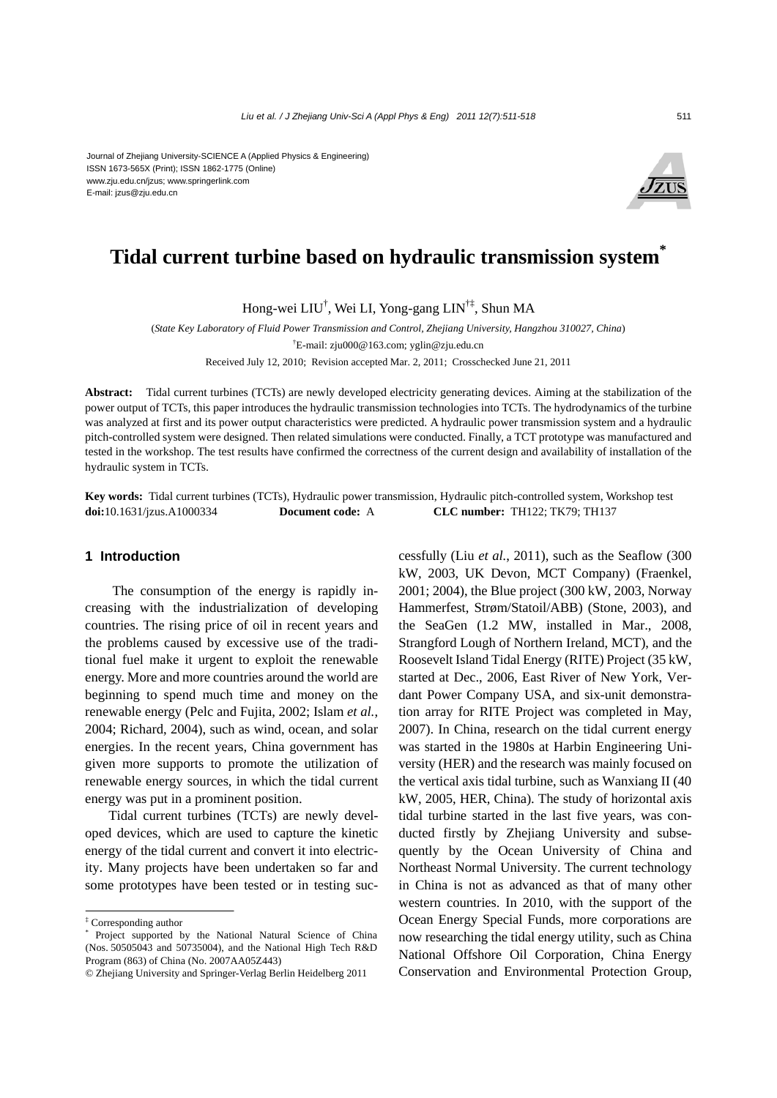Journal of Zhejiang University-SCIENCE A (Applied Physics & Engineering) ISSN 1673-565X (Print); ISSN 1862-1775 (Online) www.zju.edu.cn/jzus; www.springerlink.com E-mail: jzus@zju.edu.cn



# **Tidal current turbine based on hydraulic transmission system\***

Hong-wei LIU† , Wei LI, Yong-gang LIN†‡, Shun MA

(*State Key Laboratory of Fluid Power Transmission and Control, Zhejiang University, Hangzhou 310027, China*) † E-mail: zju000@163.com; yglin@zju.edu.cn

Received July 12, 2010; Revision accepted Mar. 2, 2011; Crosschecked June 21, 2011

**Abstract:** Tidal current turbines (TCTs) are newly developed electricity generating devices. Aiming at the stabilization of the power output of TCTs, this paper introduces the hydraulic transmission technologies into TCTs. The hydrodynamics of the turbine was analyzed at first and its power output characteristics were predicted. A hydraulic power transmission system and a hydraulic pitch-controlled system were designed. Then related simulations were conducted. Finally, a TCT prototype was manufactured and tested in the workshop. The test results have confirmed the correctness of the current design and availability of installation of the hydraulic system in TCTs.

**Key words:** Tidal current turbines (TCTs), Hydraulic power transmission, Hydraulic pitch-controlled system, Workshop test **doi:**10.1631/jzus.A1000334 **Document code:** A **CLC number:** TH122; TK79; TH137

# **1 Introduction**

The consumption of the energy is rapidly increasing with the industrialization of developing countries. The rising price of oil in recent years and the problems caused by excessive use of the traditional fuel make it urgent to exploit the renewable energy. More and more countries around the world are beginning to spend much time and money on the renewable energy (Pelc and Fujita, 2002; Islam *et al.*, 2004; Richard, 2004), such as wind, ocean, and solar energies. In the recent years, China government has given more supports to promote the utilization of renewable energy sources, in which the tidal current energy was put in a prominent position.

Tidal current turbines (TCTs) are newly developed devices, which are used to capture the kinetic energy of the tidal current and convert it into electricity. Many projects have been undertaken so far and some prototypes have been tested or in testing successfully (Liu *et al.*, 2011), such as the Seaflow (300 kW, 2003, UK Devon, MCT Company) (Fraenkel, 2001; 2004), the Blue project (300 kW, 2003, Norway Hammerfest, Strøm/Statoil/ABB) (Stone, 2003), and the SeaGen (1.2 MW, installed in Mar., 2008, Strangford Lough of Northern Ireland, MCT), and the Roosevelt Island Tidal Energy (RITE) Project (35 kW, started at Dec., 2006, East River of New York, Verdant Power Company USA, and six-unit demonstration array for RITE Project was completed in May, 2007). In China, research on the tidal current energy was started in the 1980s at Harbin Engineering University (HER) and the research was mainly focused on the vertical axis tidal turbine, such as Wanxiang II (40 kW, 2005, HER, China). The study of horizontal axis tidal turbine started in the last five years, was conducted firstly by Zhejiang University and subsequently by the Ocean University of China and Northeast Normal University. The current technology in China is not as advanced as that of many other western countries. In 2010, with the support of the Ocean Energy Special Funds, more corporations are now researching the tidal energy utility, such as China National Offshore Oil Corporation, China Energy Conservation and Environmental Protection Group,

<sup>‡</sup> Corresponding author

<sup>\*</sup> Project supported by the National Natural Science of China (Nos. 50505043 and 50735004), and the National High Tech R&D Program (863) of China (No. 2007AA05Z443)

<sup>©</sup> Zhejiang University and Springer-Verlag Berlin Heidelberg 2011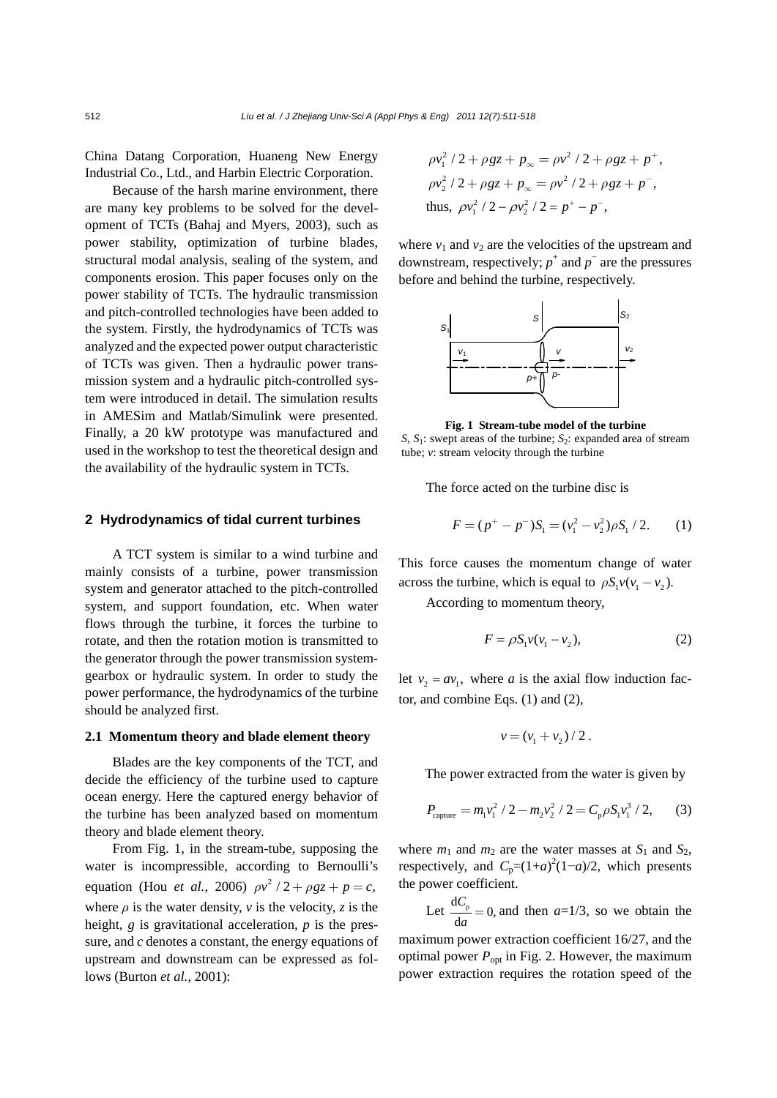China Datang Corporation, Huaneng New Energy Industrial Co., Ltd., and Harbin Electric Corporation.

Because of the harsh marine environment, there are many key problems to be solved for the development of TCTs (Bahaj and Myers, 2003), such as power stability, optimization of turbine blades, structural modal analysis, sealing of the system, and components erosion. This paper focuses only on the power stability of TCTs. The hydraulic transmission and pitch-controlled technologies have been added to the system. Firstly, the hydrodynamics of TCTs was analyzed and the expected power output characteristic of TCTs was given. Then a hydraulic power transmission system and a hydraulic pitch-controlled system were introduced in detail. The simulation results in AMESim and Matlab/Simulink were presented. Finally, a 20 kW prototype was manufactured and used in the workshop to test the theoretical design and the availability of the hydraulic system in TCTs.

# **2 Hydrodynamics of tidal current turbines**

A TCT system is similar to a wind turbine and mainly consists of a turbine, power transmission system and generator attached to the pitch-controlled system, and support foundation, etc. When water flows through the turbine, it forces the turbine to rotate, and then the rotation motion is transmitted to the generator through the power transmission systemgearbox or hydraulic system. In order to study the power performance, the hydrodynamics of the turbine should be analyzed first.

# **2.1 Momentum theory and blade element theory**

Blades are the key components of the TCT, and decide the efficiency of the turbine used to capture ocean energy. Here the captured energy behavior of the turbine has been analyzed based on momentum theory and blade element theory.

From Fig. 1, in the stream-tube, supposing the water is incompressible, according to Bernoulli's equation (Hou *et al.*, 2006)  $\rho v^2 / 2 + \rho g z + p = c$ , where  $\rho$  is the water density,  $\nu$  is the velocity, *z* is the height, *g* is gravitational acceleration, *p* is the pressure, and *c* denotes a constant, the energy equations of upstream and downstream can be expressed as follows (Burton *et al.*, 2001):

$$
\rho v_1^2 / 2 + \rho g z + p_\infty = \rho v^2 / 2 + \rho g z + p^+,
$$
  
\n
$$
\rho v_2^2 / 2 + \rho g z + p_\infty = \rho v^2 / 2 + \rho g z + p^-,
$$
  
\nthus, 
$$
\rho v_1^2 / 2 - \rho v_2^2 / 2 = p^+ - p^-,
$$

where  $v_1$  and  $v_2$  are the velocities of the upstream and downstream, respectively;  $p^+$  and  $p^-$  are the pressures before and behind the turbine, respectively.



**Fig. 1 Stream-tube model of the turbine** 

*S*, *S*1: swept areas of the turbine; *S*2: expanded area of stream tube; *v*: stream velocity through the turbine

The force acted on the turbine disc is

$$
F = (p^{+} - p^{-})S_1 = (v_1^{2} - v_2^{2})\rho S_1 / 2.
$$
 (1)

This force causes the momentum change of water across the turbine, which is equal to  $\rho S_1 v(v_1 - v_2)$ .

According to momentum theory,

$$
F = \rho S_1 v(v_1 - v_2),\tag{2}
$$

let  $v_2 = av_1$ , where *a* is the axial flow induction factor, and combine Eqs. (1) and (2),

$$
v = (v_1 + v_2) / 2
$$
.

The power extracted from the water is given by

$$
P_{\text{capture}} = m_1 v_1^2 / 2 - m_2 v_2^2 / 2 = C_p \rho S_1 v_1^3 / 2, \qquad (3)
$$

where  $m_1$  and  $m_2$  are the water masses at  $S_1$  and  $S_2$ , respectively, and  $C_p=(1+a)^2(1-a)/2$ , which presents the power coefficient.

Let  $\frac{dC_p}{da} = 0$ , and then *a*=1/3, so we obtain the

maximum power extraction coefficient 16/27, and the optimal power  $P_{opt}$  in Fig. 2. However, the maximum power extraction requires the rotation speed of the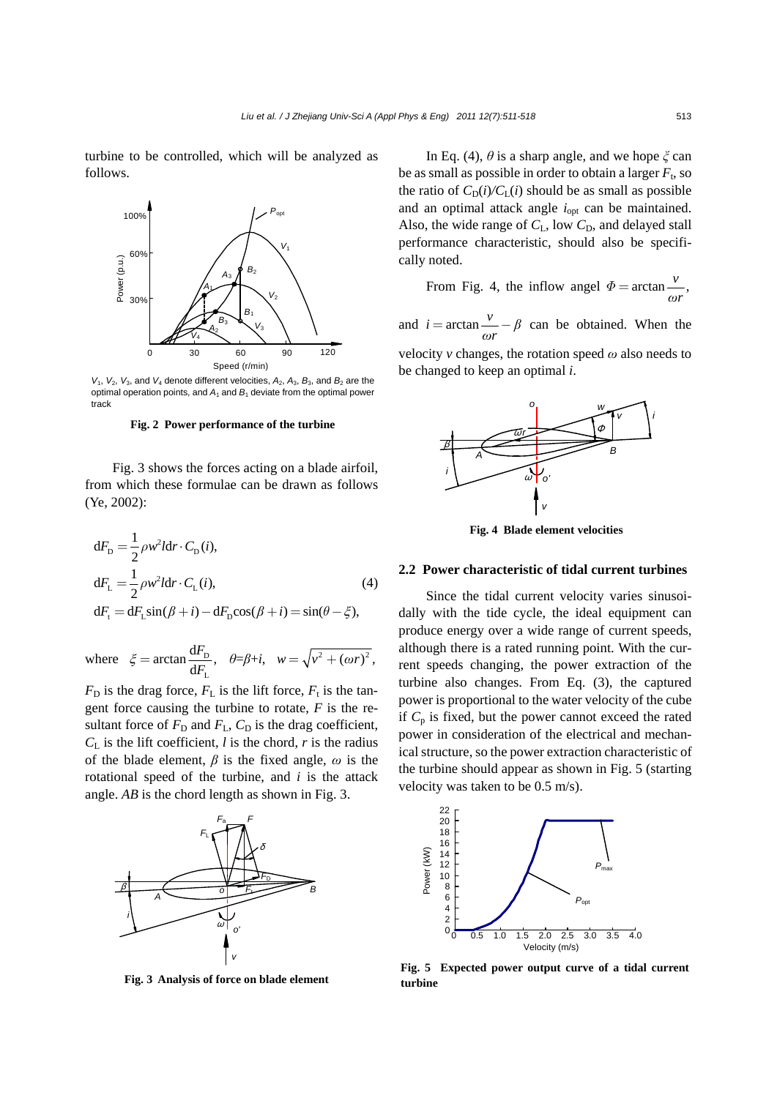turbine to be controlled, which will be analyzed as follows.



 $V_1$ ,  $V_2$ ,  $V_3$ , and  $V_4$  denote different velocities,  $A_2$ ,  $A_3$ ,  $B_3$ , and  $B_2$  are the optimal operation points, and  $A_1$  and  $B_1$  deviate from the optimal power track

### **Fig. 2 Power performance of the turbine**

Fig. 3 shows the forces acting on a blade airfoil, from which these formulae can be drawn as follows (Ye, 2002):

$$
dFD = \frac{1}{2} \rho w^2 I dr \cdot C_D(i),
$$
  
\n
$$
dFL = \frac{1}{2} \rho w^2 I dr \cdot C_L(i),
$$
\n
$$
dFt = dFL sin(\beta + i) - dFD cos(\beta + i) = sin(\theta - \xi),
$$
\n(4)

where 
$$
\xi = \arctan \frac{dF_D}{dF_L}
$$
,  $\theta = \beta + i$ ,  $w = \sqrt{v^2 + (\omega r)^2}$ ,

 $F<sub>D</sub>$  is the drag force,  $F<sub>L</sub>$  is the lift force,  $F<sub>t</sub>$  is the tangent force causing the turbine to rotate, *F* is the resultant force of  $F_D$  and  $F_L$ ,  $C_D$  is the drag coefficient,  $C_{\text{L}}$  is the lift coefficient, *l* is the chord, *r* is the radius of the blade element, *β* is the fixed angle, *ω* is the rotational speed of the turbine, and *i* is the attack angle. *AB* is the chord length as shown in Fig. 3.



**Fig. 3 Analysis of force on blade element**

In Eq. (4),  $\theta$  is a sharp angle, and we hope  $\zeta$  can be as small as possible in order to obtain a larger  $F_t$ , so the ratio of  $C_D(i)/C_L(i)$  should be as small as possible and an optimal attack angle *i*opt can be maintained. Also, the wide range of  $C_L$ , low  $C_D$ , and delayed stall performance characteristic, should also be specifically noted.

From Fig. 4, the inflow angel  $\Phi = \arctan \frac{v}{r}$ , *ωr*  $\Phi =$ 

and  $i = \arctan \frac{v}{\omega r} - \beta$  can be obtained. When the velocity *v* changes, the rotation speed *ω* also needs to be changed to keep an optimal *i*.



**Fig. 4 Blade element velocities** 

# **2.2 Power characteristic of tidal current turbines**

Since the tidal current velocity varies sinusoidally with the tide cycle, the ideal equipment can produce energy over a wide range of current speeds, although there is a rated running point. With the current speeds changing, the power extraction of the turbine also changes. From Eq. (3), the captured power is proportional to the water velocity of the cube if  $C_p$  is fixed, but the power cannot exceed the rated power in consideration of the electrical and mechanical structure, so the power extraction characteristic of the turbine should appear as shown in Fig. 5 (starting velocity was taken to be 0.5 m/s).



**Fig. 5 Expected power output curve of a tidal current turbine**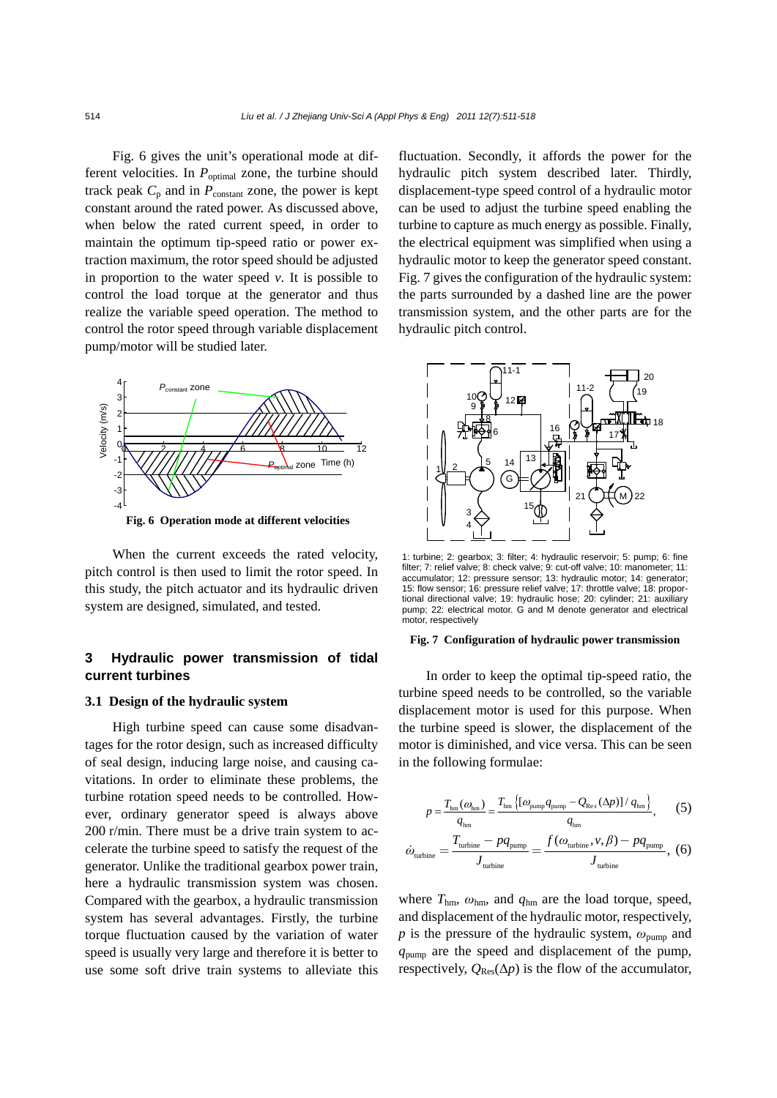Fig. 6 gives the unit's operational mode at different velocities. In *P*<sub>optimal</sub> zone, the turbine should track peak  $C_p$  and in  $P_{\text{constant}}$  zone, the power is kept constant around the rated power. As discussed above, when below the rated current speed, in order to maintain the optimum tip-speed ratio or power extraction maximum, the rotor speed should be adjusted in proportion to the water speed  $v$ . It is possible to control the load torque at the generator and thus realize the variable speed operation. The method to control the rotor speed through variable displacement pump/motor will be studied later.



**Fig. 6 Operation mode at different velocities**

When the current exceeds the rated velocity, pitch control is then used to limit the rotor speed. In this study, the pitch actuator and its hydraulic driven system are designed, simulated, and tested.

# **3 Hydraulic power transmission of tidal current turbines**

# **3.1 Design of the hydraulic system**

High turbine speed can cause some disadvantages for the rotor design, such as increased difficulty of seal design, inducing large noise, and causing cavitations. In order to eliminate these problems, the turbine rotation speed needs to be controlled. However, ordinary generator speed is always above 200 r/min. There must be a drive train system to accelerate the turbine speed to satisfy the request of the generator. Unlike the traditional gearbox power train, here a hydraulic transmission system was chosen. Compared with the gearbox, a hydraulic transmission system has several advantages. Firstly, the turbine torque fluctuation caused by the variation of water speed is usually very large and therefore it is better to use some soft drive train systems to alleviate this

fluctuation. Secondly, it affords the power for the hydraulic pitch system described later. Thirdly, displacement-type speed control of a hydraulic motor can be used to adjust the turbine speed enabling the turbine to capture as much energy as possible. Finally, the electrical equipment was simplified when using a hydraulic motor to keep the generator speed constant. Fig. 7 gives the configuration of the hydraulic system: the parts surrounded by a dashed line are the power transmission system, and the other parts are for the hydraulic pitch control.



1: turbine; 2: gearbox; 3: filter; 4: hydraulic reservoir; 5: pump; 6: fine filter; 7: relief valve; 8: check valve; 9: cut-off valve; 10: manometer; 11: accumulator; 12: pressure sensor; 13: hydraulic motor; 14: generator; 15: flow sensor; 16: pressure relief valve; 17: throttle valve; 18: proportional directional valve; 19: hydraulic hose; 20: cylinder; 21: auxiliary pump; 22: electrical motor. G and M denote generator and electrical motor, respectively

#### **Fig. 7 Configuration of hydraulic power transmission**

In order to keep the optimal tip-speed ratio, the turbine speed needs to be controlled, so the variable displacement motor is used for this purpose. When the turbine speed is slower, the displacement of the motor is diminished, and vice versa. This can be seen in the following formulae:

$$
p = \frac{T_{\text{hm}}(\omega_{\text{hm}})}{q_{\text{hm}}} = \frac{T_{\text{hm}}\left\{[\omega_{\text{pump}}q_{\text{pump}} - Q_{\text{Re}s}(\Delta p)]/q_{\text{hm}}\right\}}{q_{\text{hm}}},\qquad(5)
$$

$$
T_{\text{turbine}} = pq_{\text{pump}} \qquad f(\omega_{\text{turbine}}, \nu, \beta) - pq_{\text{pump}} \qquad(6)
$$

$$
\dot{\omega}_{\text{turbine}} = \frac{T_{\text{turbine}} - pq_{\text{pump}}}{J_{\text{turbine}}} = \frac{f(\omega_{\text{turbine}}, v, \beta) - pq_{\text{pump}}}{J_{\text{turbine}}}, (6)
$$

where *T*hm, *ω*hm, and *q*hm are the load torque, speed, and displacement of the hydraulic motor, respectively, *p* is the pressure of the hydraulic system,  $\omega_{\text{pump}}$  and *q*pump are the speed and displacement of the pump, respectively,  $Q_{\text{Res}}(\Delta p)$  is the flow of the accumulator,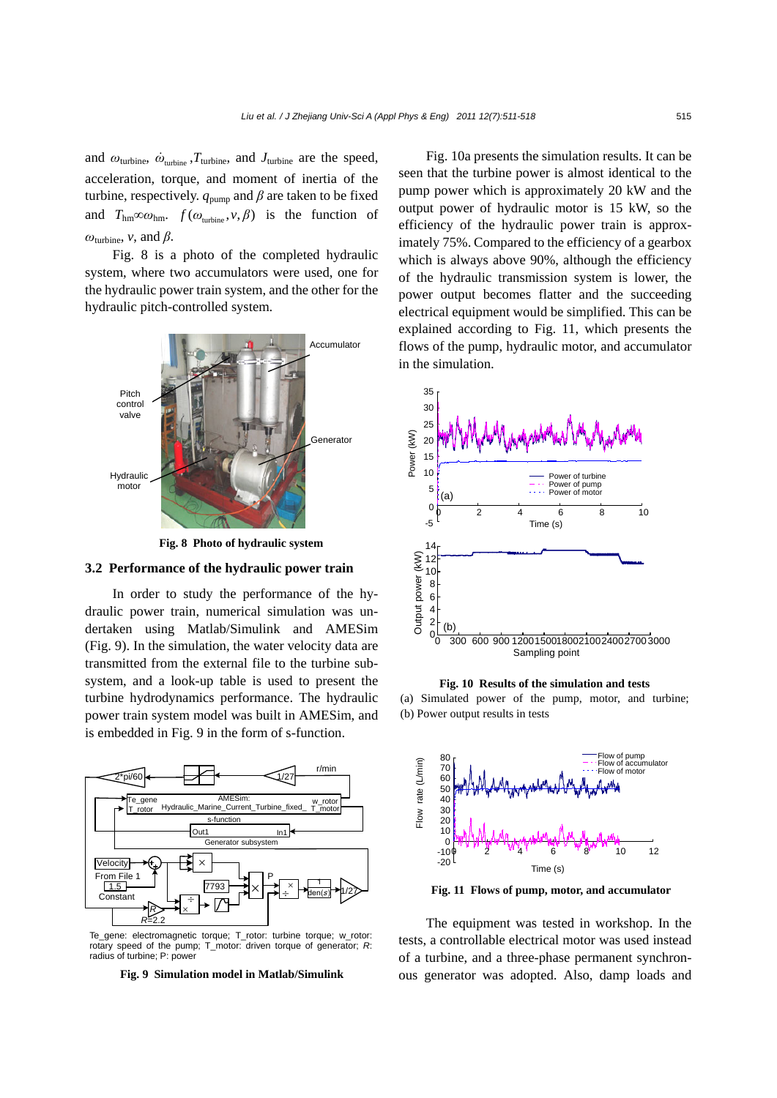and  $\omega_{\text{turbine}}, \dot{\omega}_{\text{turbine}}, T_{\text{turbine}}$ , and  $J_{\text{turbine}}$  are the speed, acceleration, torque, and moment of inertia of the turbine, respectively.  $q_{\text{pump}}$  and  $\beta$  are taken to be fixed and  $T_{\text{hm}} \infty \omega_{\text{hm}}$ .  $f(\omega_{\text{min}}^{\text{p}}, v, \beta)$  is the function of  $ω$ <sub>turbine</sub>, *v*, and  $β$ .

Fig. 8 is a photo of the completed hydraulic system, where two accumulators were used, one for the hydraulic power train system, and the other for the hydraulic pitch-controlled system.



**Fig. 8 Photo of hydraulic system** 

# **3.2 Performance of the hydraulic power train**

In order to study the performance of the hydraulic power train, numerical simulation was undertaken using Matlab/Simulink and AMESim (Fig. 9). In the simulation, the water velocity data are transmitted from the external file to the turbine subsystem, and a look-up table is used to present the turbine hydrodynamics performance. The hydraulic power train system model was built in AMESim, and is embedded in Fig. 9 in the form of s-function.



Te\_gene: electromagnetic torque; T\_rotor: turbine torque; w\_rotor: rotary speed of the pump; T\_motor: driven torque of generator; *R*: radius of turbine; P: power



Fig. 10a presents the simulation results. It can be seen that the turbine power is almost identical to the pump power which is approximately 20 kW and the output power of hydraulic motor is 15 kW, so the efficiency of the hydraulic power train is approximately 75%. Compared to the efficiency of a gearbox which is always above 90%, although the efficiency of the hydraulic transmission system is lower, the power output becomes flatter and the succeeding electrical equipment would be simplified. This can be explained according to Fig. 11, which presents the flows of the pump, hydraulic motor, and accumulator in the simulation.



**Fig. 10 Results of the simulation and tests**

(a) Simulated power of the pump, motor, and turbine; (b) Power output results in tests



**Fig. 11 Flows of pump, motor, and accumulator**

The equipment was tested in workshop. In the tests, a controllable electrical motor was used instead of a turbine, and a three-phase permanent synchronous generator was adopted. Also, damp loads and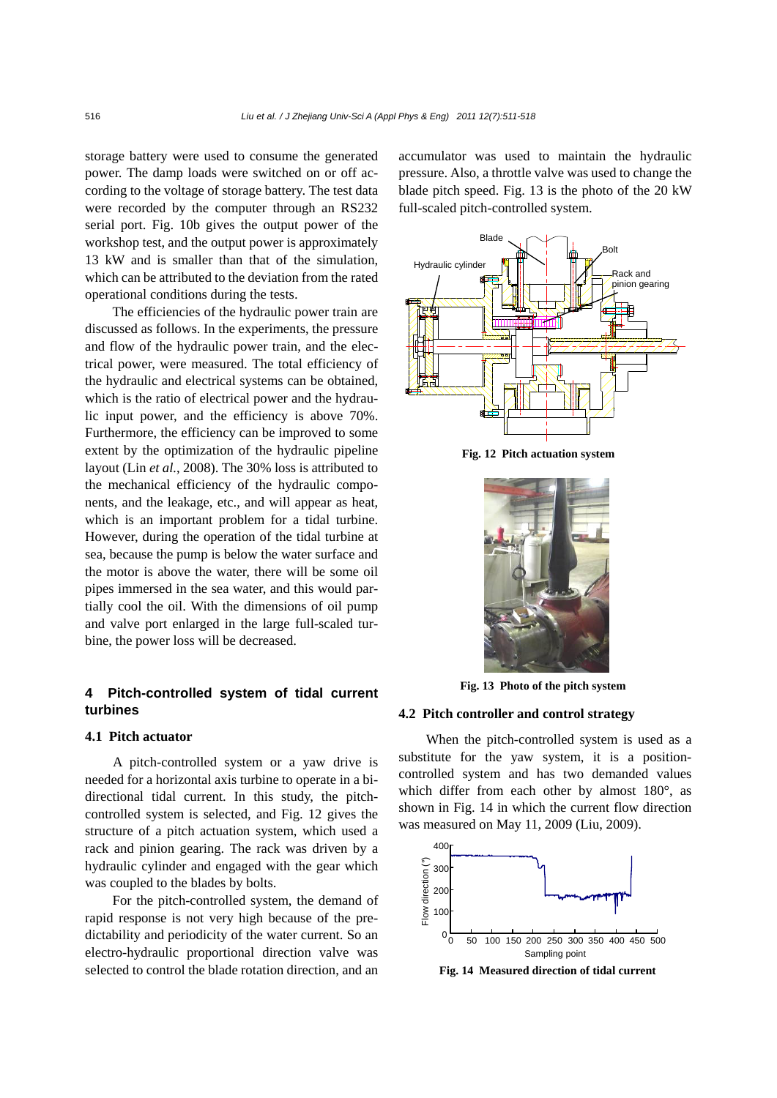storage battery were used to consume the generated power. The damp loads were switched on or off according to the voltage of storage battery. The test data were recorded by the computer through an RS232 serial port. Fig. 10b gives the output power of the workshop test, and the output power is approximately 13 kW and is smaller than that of the simulation, which can be attributed to the deviation from the rated operational conditions during the tests.

The efficiencies of the hydraulic power train are discussed as follows. In the experiments, the pressure and flow of the hydraulic power train, and the electrical power, were measured. The total efficiency of the hydraulic and electrical systems can be obtained, which is the ratio of electrical power and the hydraulic input power, and the efficiency is above 70%. Furthermore, the efficiency can be improved to some extent by the optimization of the hydraulic pipeline layout (Lin *et al.*, 2008). The 30% loss is attributed to the mechanical efficiency of the hydraulic components, and the leakage, etc., and will appear as heat, which is an important problem for a tidal turbine. However, during the operation of the tidal turbine at sea, because the pump is below the water surface and the motor is above the water, there will be some oil pipes immersed in the sea water, and this would partially cool the oil. With the dimensions of oil pump and valve port enlarged in the large full-scaled turbine, the power loss will be decreased.

# **4 Pitch-controlled system of tidal current turbines**

# **4.1 Pitch actuator**

A pitch-controlled system or a yaw drive is needed for a horizontal axis turbine to operate in a bidirectional tidal current. In this study, the pitchcontrolled system is selected, and Fig. 12 gives the structure of a pitch actuation system, which used a rack and pinion gearing. The rack was driven by a hydraulic cylinder and engaged with the gear which was coupled to the blades by bolts.

For the pitch-controlled system, the demand of rapid response is not very high because of the predictability and periodicity of the water current. So an electro-hydraulic proportional direction valve was selected to control the blade rotation direction, and an

accumulator was used to maintain the hydraulic pressure. Also, a throttle valve was used to change the blade pitch speed. Fig. 13 is the photo of the 20 kW full-scaled pitch-controlled system.



**Fig. 12 Pitch actuation system**



**Fig. 13 Photo of the pitch system** 

# **4.2 Pitch controller and control strategy**

When the pitch-controlled system is used as a substitute for the yaw system, it is a positioncontrolled system and has two demanded values which differ from each other by almost 180°, as shown in Fig. 14 in which the current flow direction was measured on May 11, 2009 (Liu, 2009).



**Fig. 14 Measured direction of tidal current**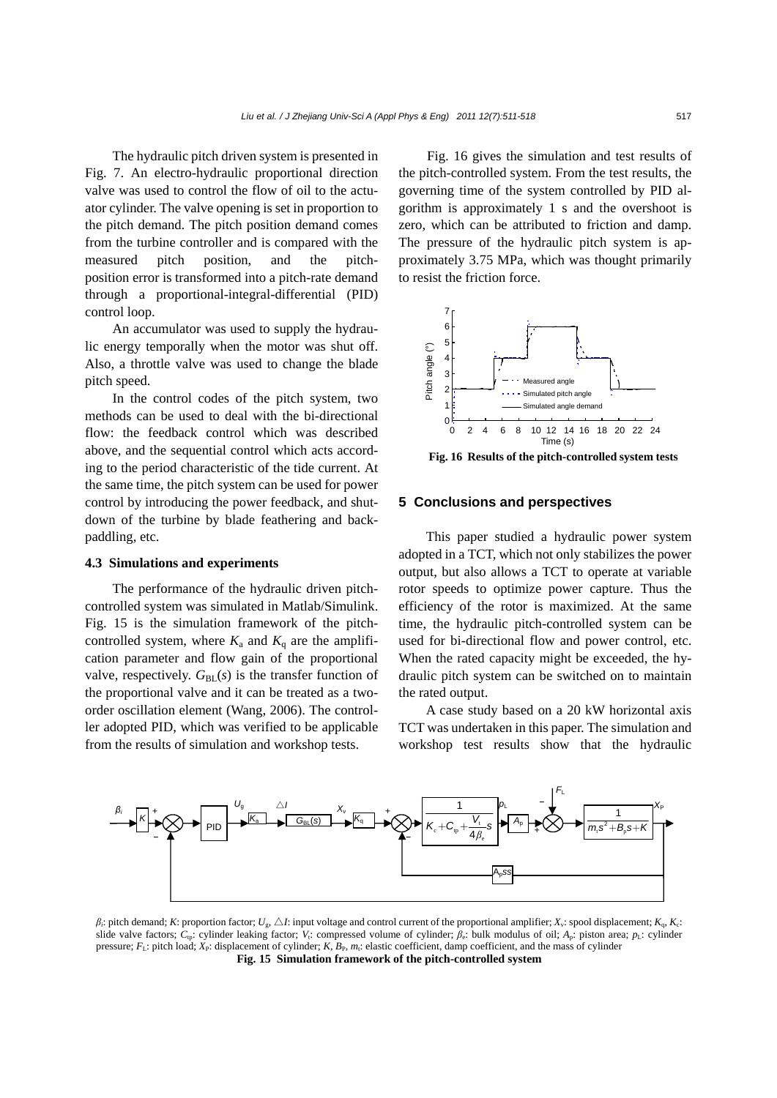The hydraulic pitch driven system is presented in Fig. 7. An electro-hydraulic proportional direction valve was used to control the flow of oil to the actuator cylinder. The valve opening is set in proportion to the pitch demand. The pitch position demand comes from the turbine controller and is compared with the measured pitch position, and the pitchposition error is transformed into a pitch-rate demand through a proportional-integral-differential (PID) control loop.

An accumulator was used to supply the hydraulic energy temporally when the motor was shut off. Also, a throttle valve was used to change the blade pitch speed.

In the control codes of the pitch system, two methods can be used to deal with the bi-directional flow: the feedback control which was described above, and the sequential control which acts according to the period characteristic of the tide current. At the same time, the pitch system can be used for power control by introducing the power feedback, and shutdown of the turbine by blade feathering and backpaddling, etc.

# **4.3 Simulations and experiments**

The performance of the hydraulic driven pitchcontrolled system was simulated in Matlab/Simulink. Fig. 15 is the simulation framework of the pitchcontrolled system, where  $K_a$  and  $K_q$  are the amplification parameter and flow gain of the proportional valve, respectively.  $G_{BL}(s)$  is the transfer function of the proportional valve and it can be treated as a twoorder oscillation element (Wang, 2006). The controller adopted PID, which was verified to be applicable from the results of simulation and workshop tests.

Fig. 16 gives the simulation and test results of the pitch-controlled system. From the test results, the governing time of the system controlled by PID algorithm is approximately 1 s and the overshoot is zero, which can be attributed to friction and damp. The pressure of the hydraulic pitch system is approximately 3.75 MPa, which was thought primarily to resist the friction force.





# **5 Conclusions and perspectives**

This paper studied a hydraulic power system adopted in a TCT, which not only stabilizes the power output, but also allows a TCT to operate at variable rotor speeds to optimize power capture. Thus the efficiency of the rotor is maximized. At the same time, the hydraulic pitch-controlled system can be used for bi-directional flow and power control, etc. When the rated capacity might be exceeded, the hydraulic pitch system can be switched on to maintain the rated output.

A case study based on a 20 kW horizontal axis TCT was undertaken in this paper. The simulation and workshop test results show that the hydraulic



*β*<sup>*i*</sup>: pitch demand; *K*: proportion factor; *U<sub>s</sub>*,  $\triangle I$ : input voltage and control current of the proportional amplifier; *X<sub>v</sub>*: spool displacement; *K<sub>n</sub>*, *K<sub>c</sub>*: slide valve factors;  $C_{\text{tp}}$ : cylinder leaking factor; *V<sub>i</sub>*: compressed volume of cylinder;  $\beta_{\text{e}}$ : bulk modulus of oil; *A*<sub>p</sub>: piston area; *p*<sub>L</sub>: cylinder pressure; *F*L: pitch load; *X*P: displacement of cylinder; *K*, *B*P, *m*t: elastic coefficient, damp coefficient, and the mass of cylinder **Fig. 15 Simulation framework of the pitch-controlled system**